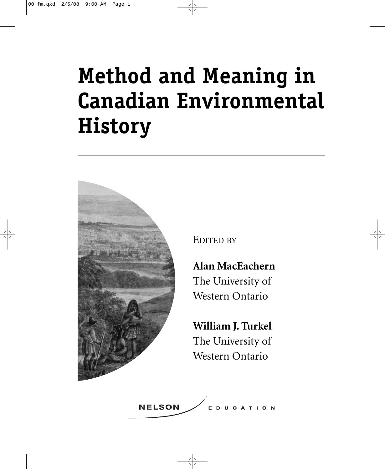# **Method and Meaning in Canadian Environmental History**



EDITED BY

**Alan MacEachern** The University of Western Ontario

**William J. Turkel** The University of Western Ontario

**NELSON DUCATION**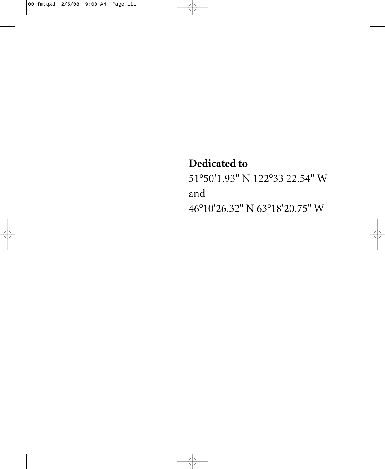#### **Dedicated to**

51°50'1.93" N 122°33'22.54" W and 46°10'26.32" N 63°18'20.75" W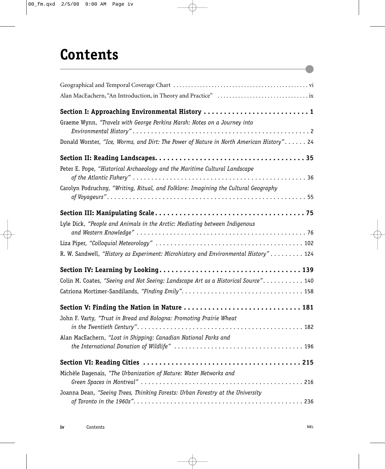## **Contents**

| Graeme Wynn, "Travels with George Perkins Marsh: Notes on a Journey into                 |
|------------------------------------------------------------------------------------------|
| Donald Worster, "Ice, Worms, and Dirt: The Power of Nature in North American History" 24 |
|                                                                                          |
| Peter E. Pope, "Historical Archaeology and the Maritime Cultural Landscape               |
| Carolyn Podruchny, "Writing, Ritual, and Folklore: Imagining the Cultural Geography      |
|                                                                                          |
| Lyle Dick, "People and Animals in the Arctic: Mediating between Indigenous               |
|                                                                                          |
| R. W. Sandwell, "History as Experiment: Microhistory and Environmental History" 124      |
|                                                                                          |
| Colin M. Coates, "Seeing and Not Seeing: Landscape Art as a Historical Source". 140      |
|                                                                                          |
| Section V: Finding the Nation in Nature  181                                             |
| John F. Varty, "Trust in Bread and Bologna: Promoting Prairie Wheat                      |
| Alan MacEachern, "Lost in Shipping: Canadian National Parks and                          |
|                                                                                          |
| Michèle Dagenais, "The Urbanization of Nature: Water Networks and                        |
| Joanna Dean, "Seeing Trees, Thinking Forests: Urban Forestry at the University           |
|                                                                                          |

Æ

 $\bullet$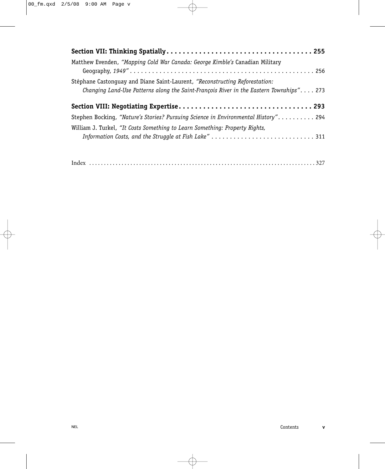| Matthew Evenden, "Mapping Cold War Canada: George Kimble's Canadian Military                                                                                            |  |
|-------------------------------------------------------------------------------------------------------------------------------------------------------------------------|--|
| Stéphane Castonquay and Diane Saint-Laurent, "Reconstructing Reforestation:<br>Changing Land-Use Patterns along the Saint-François River in the Eastern Townships". 273 |  |
|                                                                                                                                                                         |  |
| Stephen Bocking, "Nature's Stories? Pursuing Science in Environmental History" 294                                                                                      |  |
| William J. Turkel, "It Costs Something to Learn Something: Property Rights,                                                                                             |  |
|                                                                                                                                                                         |  |

|--|--|--|--|--|--|--|--|--|--|--|--|--|--|--|--|--|--|--|--|--|--|--|--|--|

Æ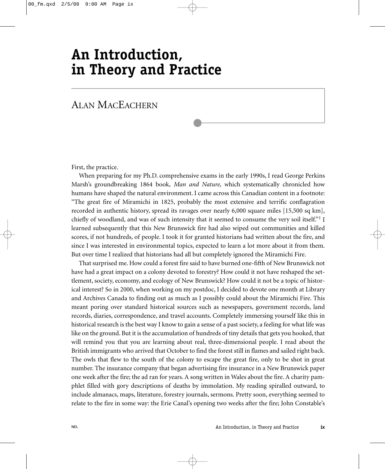### **An Introduction, in Theory and Practice**

#### ALAN MACEACHERN

First, the practice.

When preparing for my Ph.D. comprehensive exams in the early 1990s, I read George Perkins Marsh's groundbreaking 1864 book, *Man and Nature,* which systematically chronicled how humans have shaped the natural environment. I came across this Canadian content in a footnote: "The great fire of Miramichi in 1825, probably the most extensive and terrific conflagration recorded in authentic history, spread its ravages over nearly 6,000 square miles [15,500 sq km], chiefly of woodland, and was of such intensity that it seemed to consume the very soil itself."<sup>1</sup> I learned subsequently that this New Brunswick fire had also wiped out communities and killed scores, if not hundreds, of people. I took it for granted historians had written about the fire, and since I was interested in environmental topics, expected to learn a lot more about it from them. But over time I realized that historians had all but completely ignored the Miramichi Fire.

That surprised me. How could a forest fire said to have burned one-fifth of New Brunswick not have had a great impact on a colony devoted to forestry? How could it not have reshaped the settlement, society, economy, and ecology of New Brunswick? How could it not be a topic of historical interest? So in 2000, when working on my postdoc, I decided to devote one month at Library and Archives Canada to finding out as much as I possibly could about the Miramichi Fire. This meant poring over standard historical sources such as newspapers, government records, land records, diaries, correspondence, and travel accounts. Completely immersing yourself like this in historical research is the best way I know to gain a sense of a past society, a feeling for what life was like on the ground. But it is the accumulation of hundreds of tiny details that gets you hooked, that will remind you that you are learning about real, three-dimensional people. I read about the British immigrants who arrived that October to find the forest still in flames and sailed right back. The owls that flew to the south of the colony to escape the great fire, only to be shot in great number. The insurance company that began advertising fire insurance in a New Brunswick paper one week after the fire; the ad ran for years. A song written in Wales about the fire. A charity pamphlet filled with gory descriptions of deaths by immolation. My reading spiralled outward, to include almanacs, maps, literature, forestry journals, sermons. Pretty soon, everything seemed to relate to the fire in some way: the Erie Canal's opening two weeks after the fire; John Constable's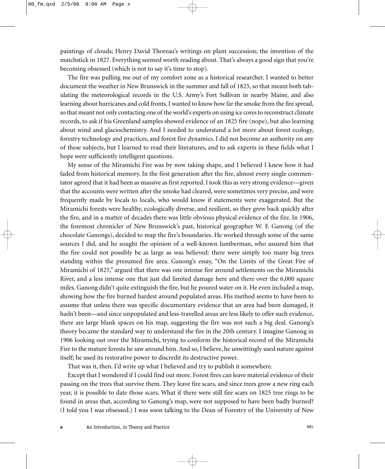paintings of clouds; Henry David Thoreau's writings on plant succession; the invention of the matchstick in 1827. Everything seemed worth reading about. That's always a good sign that you're becoming obsessed (which is not to say it's time to stop).

The fire was pulling me out of my comfort zone as a historical researcher. I wanted to better document the weather in New Brunswick in the summer and fall of 1825, so that meant both tabulating the meteorological records in the U.S. Army's Fort Sullivan in nearby Maine, and also learning about hurricanes and cold fronts. I wanted to know how far the smoke from the fire spread, so that meant not only contacting one of the world's experts on using ice cores to reconstruct climate records, to ask if his Greenland samples showed evidence of an 1825 fire (nope), but also learning about wind and glaciochemistry. And I needed to understand a lot more about forest ecology, forestry technology and practices, and forest fire dynamics. I did not become an authority on any of these subjects, but I learned to read their literatures, and to ask experts in these fields what I hope were sufficiently intelligent questions.

My sense of the Miramichi Fire was by now taking shape, and I believed I knew how it had faded from historical memory. In the first generation after the fire, almost every single commentator agreed that it had been as massive as first reported. I took this as very strong evidence—given that the accounts were written after the smoke had cleared, were sometimes very precise, and were frequently made by locals to locals, who would know if statements were exaggerated. But the Miramichi forests were healthy, ecologically diverse, and resilient, so they grew back quickly after the fire, and in a matter of decades there was little obvious physical evidence of the fire. In 1906, the foremost chronicler of New Brunswick's past, historical geographer W. F. Ganong (of the chocolate Ganongs), decided to map the fire's boundaries. He worked through some of the same sources I did, and he sought the opinion of a well-known lumberman, who assured him that the fire could not possibly be as large as was believed: there were simply too many big trees standing within the presumed fire area. Ganong's essay, "On the Limits of the Great Fire of Miramichi of 1825," argued that there was one intense fire around settlements on the Miramichi River, and a less intense one that just did limited damage here and there over the 6,000 square miles. Ganong didn't quite extinguish the fire, but he poured water on it. He even included a map, showing how the fire burned hardest around populated areas. His method seems to have been to assume that unless there was specific documentary evidence that an area had been damaged, it hadn't been—and since unpopulated and less-travelled areas are less likely to offer such evidence, there are large blank spaces on his map, suggesting the fire was not such a big deal. Ganong's theory became the standard way to understand the fire in the 20th century. I imagine Ganong in 1906 looking out over the Miramichi, trying to conform the historical record of the Miramichi Fire to the mature forests he saw around him. And so, I believe, he unwittingly used nature against itself; he used its restorative power to discredit its destructive power.

That was it, then. I'd write up what I believed and try to publish it somewhere.

Except that I wondered if I could find out more. Forest fires can leave material evidence of their passing on the trees that survive them. They leave fire scars, and since trees grow a new ring each year, it is possible to date those scars. What if there were still fire scars on 1825 tree rings to be found in areas that, according to Ganong's map, were not supposed to have been badly burned? (I told you I was obsessed.) I was soon talking to the Dean of Forestry of the University of New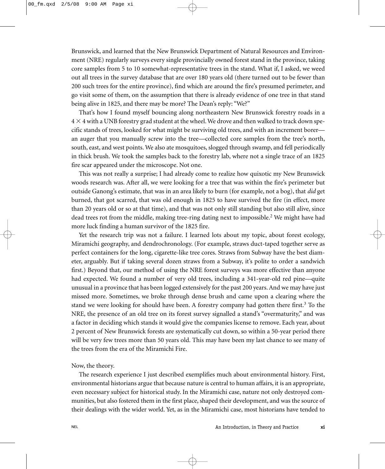Brunswick, and learned that the New Brunswick Department of Natural Resources and Environment (NRE) regularly surveys every single provincially owned forest stand in the province, taking core samples from 5 to 10 somewhat-representative trees in the stand. What if, I asked, we weed out all trees in the survey database that are over 180 years old (there turned out to be fewer than 200 such trees for the entire province), find which are around the fire's presumed perimeter, and go visit some of them, on the assumption that there is already evidence of one tree in that stand being alive in 1825, and there may be more? The Dean's reply: "We?"

That's how I found myself bouncing along northeastern New Brunswick forestry roads in a  $4\times 4$  with a UNB forestry grad student at the wheel. We drove and then walked to track down specific stands of trees, looked for what might be surviving old trees, and with an increment borer an auger that you manually screw into the tree—collected core samples from the tree's north, south, east, and west points. We also ate mosquitoes, slogged through swamp, and fell periodically in thick brush. We took the samples back to the forestry lab, where not a single trace of an 1825 fire scar appeared under the microscope. Not one.

This was not really a surprise; I had already come to realize how quixotic my New Brunswick woods research was. After all, we were looking for a tree that was within the fire's perimeter but outside Ganong's estimate, that was in an area likely to burn (for example, not a bog), that *did* get burned, that got scarred, that was old enough in 1825 to have survived the fire (in effect, more than 20 years old or so at that time), and that was not only still standing but also still alive, since dead trees rot from the middle, making tree-ring dating next to impossible.<sup>2</sup> We might have had more luck finding a human survivor of the 1825 fire.

Yet the research trip was not a failure. I learned lots about my topic, about forest ecology, Miramichi geography, and dendrochronology. (For example, straws duct-taped together serve as perfect containers for the long, cigarette-like tree cores. Straws from Subway have the best diameter, arguably. But if taking several dozen straws from a Subway, it's polite to order a sandwich first.) Beyond that, our method of using the NRE forest surveys was more effective than anyone had expected. We found a number of very old trees, including a 341-year-old red pine—quite unusual in a province that has been logged extensively for the past 200 years. And we may have just missed more. Sometimes, we broke through dense brush and came upon a clearing where the stand we were looking for should have been. A forestry company had gotten there first.<sup>3</sup> To the NRE, the presence of an old tree on its forest survey signalled a stand's "overmaturity," and was a factor in deciding which stands it would give the companies license to remove. Each year, about 2 percent of New Brunswick forests are systematically cut down, so within a 50-year period there will be very few trees more than 50 years old. This may have been my last chance to see many of the trees from the era of the Miramichi Fire.

Now, the theory.

The research experience I just described exemplifies much about environmental history. First, environmental historians argue that because nature is central to human affairs, it is an appropriate, even necessary subject for historical study. In the Miramichi case, nature not only destroyed communities, but also fostered them in the first place, shaped their development, and was the source of their dealings with the wider world. Yet, as in the Miramichi case, most historians have tended to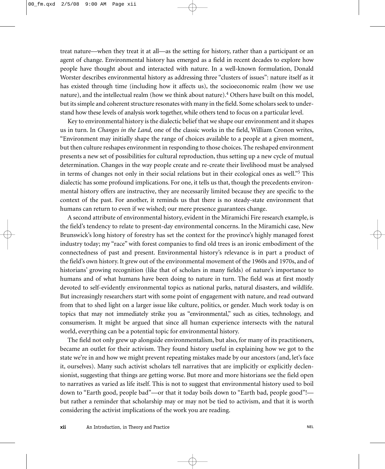treat nature—when they treat it at all—as the setting for history, rather than a participant or an agent of change. Environmental history has emerged as a field in recent decades to explore how people have thought about and interacted with nature. In a well-known formulation, Donald Worster describes environmental history as addressing three "clusters of issues": nature itself as it has existed through time (including how it affects us), the socioeconomic realm (how we use nature), and the intellectual realm (how we think about nature).4 Others have built on this model, but its simple and coherent structure resonates with many in the field. Some scholars seek to understand how these levels of analysis work together, while others tend to focus on a particular level.

Key to environmental history is the dialectic belief that we shape our environment and it shapes us in turn. In *Changes in the Land,* one of the classic works in the field, William Cronon writes, "Environment may initially shape the range of choices available to a people at a given moment, but then culture reshapes environment in responding to those choices. The reshaped environment presents a new set of possibilities for cultural reproduction, thus setting up a new cycle of mutual determination. Changes in the way people create and re-create their livelihood must be analysed in terms of changes not only in their social relations but in their ecological ones as well."5 This dialectic has some profound implications. For one, it tells us that, though the precedents environmental history offers are instructive, they are necessarily limited because they are specific to the context of the past. For another, it reminds us that there is no steady-state environment that humans can return to even if we wished; our mere presence guarantees change.

A second attribute of environmental history, evident in the Miramichi Fire research example, is the field's tendency to relate to present-day environmental concerns. In the Miramichi case, New Brunswick's long history of forestry has set the context for the province's highly managed forest industry today; my "race" with forest companies to find old trees is an ironic embodiment of the connectedness of past and present. Environmental history's relevance is in part a product of the field's own history. It grew out of the environmental movement of the 1960s and 1970s, and of historians' growing recognition (like that of scholars in many fields) of nature's importance to humans and of what humans have been doing to nature in turn. The field was at first mostly devoted to self-evidently environmental topics as national parks, natural disasters, and wildlife. But increasingly researchers start with some point of engagement with nature, and read outward from that to shed light on a larger issue like culture, politics, or gender. Much work today is on topics that may not immediately strike you as "environmental," such as cities, technology, and consumerism. It might be argued that since all human experience intersects with the natural world, everything can be a potential topic for environmental history.

The field not only grew up alongside environmentalism, but also, for many of its practitioners, became an outlet for their activism. They found history useful in explaining how we got to the state we're in and how we might prevent repeating mistakes made by our ancestors (and, let's face it, ourselves). Many such activist scholars tell narratives that are implicitly or explicitly declensionist, suggesting that things are getting worse. But more and more historians see the field open to narratives as varied as life itself. This is not to suggest that environmental history used to boil down to "Earth good, people bad"—or that it today boils down to "Earth bad, people good"! but rather a reminder that scholarship may or may not be tied to activism, and that it is worth considering the activist implications of the work you are reading.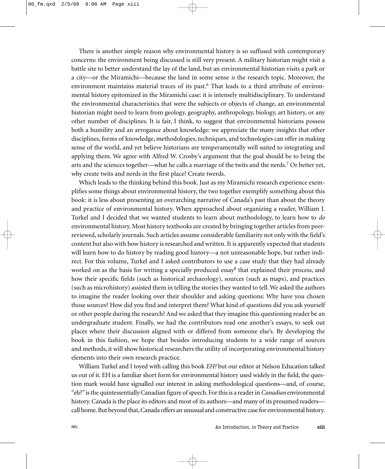There is another simple reason why environmental history is so suffused with contemporary concerns: the environment being discussed is still very present. A military historian might visit a battle site to better understand the lay of the land, but an environmental historian visits a park or a city—or the Miramichi—because the land in some sense *is* the research topic. Moreover, the environment maintains material traces of its past.<sup>6</sup> That leads to a third attribute of environmental history epitomized in the Miramichi case: it is intensely multidisciplinary. To understand the environmental characteristics that were the subjects or objects of change, an environmental historian might need to learn from geology, geography, anthropology, biology, art history, or any other number of disciplines. It is fair, I think, to suggest that environmental historians possess both a humility and an arrogance about knowledge: we appreciate the many insights that other disciplines, forms of knowledge, methodologies, techniques, and technologies can offer in making sense of the world, and yet believe historians are temperamentally well suited to integrating and applying them. We agree with Alfred W. Crosby's argument that the goal should be to bring the arts and the sciences together—what he calls a marriage of the twits and the nerds.<sup>7</sup> Or better yet, why create twits and nerds in the first place? Create twerds.

Which leads to the thinking behind this book. Just as my Miramichi research experience exemplifies some things about environmental history, the two together exemplify something about this book: it is less about presenting an overarching narrative of Canada's past than about the theory and practice of environmental history. When approached about organizing a reader, William J. Turkel and I decided that we wanted students to learn about methodology, to learn how to *do* environmental history. Most history textbooks are created by bringing together articles from peerreviewed, scholarly journals. Such articles assume considerable familiarity not only with the field's content but also with how history is researched and written. It is apparently expected that students will learn how to do history by reading good history—a not unreasonable hope, but rather indirect. For this volume, Turkel and I asked contributors to use a case study that they had already worked on as the basis for writing a specially produced essay<sup>8</sup> that explained their process, and how their specific fields (such as historical archaeology), sources (such as maps), and practices (such as microhistory) assisted them in telling the stories they wanted to tell. We asked the authors to imagine the reader looking over their shoulder and asking questions: Why have you chosen those sources? How did you find and interpret them? What kind of questions did you ask yourself or other people during the research? And we asked that they imagine this questioning reader be an undergraduate student. Finally, we had the contributors read one another's essays, to seek out places where their discussion aligned with or differed from someone else's. By developing the book in this fashion, we hope that besides introducing students to a wide range of sources and methods, it will show historical researchers the utility of incorporating environmental history elements into their own research practice.

William Turkel and I toyed with calling this book *EH?* but our editor at Nelson Education talked us out of it. EH is a familiar short form for environmental history used widely in the field, the question mark would have signalled our interest in asking methodological questions—and, of course, "eh?"is the quintessentially Canadian figure of speech. For this is a reader in*Canadian* environmental history. Canada is the place its editors and most of its authors—and many of its presumed readers call home. But beyond that, Canada offers an unusual and constructive case for environmental history.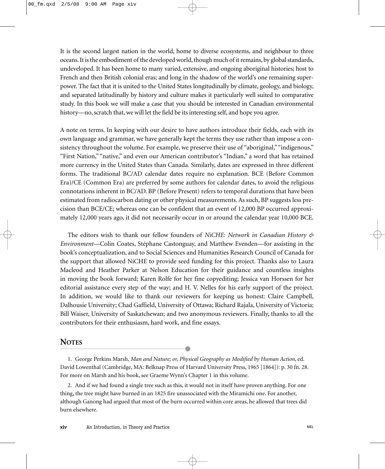It is the second largest nation in the world, home to diverse ecosystems, and neighbour to three oceans. It is the embodiment of the developed world, though much of it remains, by global standards, undeveloped. It has been home to many varied, extensive, and ongoing aboriginal histories; host to French and then British colonial eras; and long in the shadow of the world's one remaining superpower. The fact that it is united to the United States longitudinally by climate, geology, and biology, and separated latitudinally by history and culture makes it particularly well suited to comparative study. In this book we will make a case that you should be interested in Canadian environmental history—no, scratch that, we will let the field be its interesting self, and hope you agree.

A note on terms. In keeping with our desire to have authors introduce their fields, each with its own language and grammar, we have generally kept the terms they use rather than impose a consistency throughout the volume. For example, we preserve their use of "aboriginal," "indigenous," "First Nation," "native," and even our American contributor's "Indian," a word that has retained more currency in the United States than Canada. Similarly, dates are expressed in three different forms. The traditional BC/AD calendar dates require no explanation. BCE (Before Common Era)/CE (Common Era) are preferred by some authors for calendar dates, to avoid the religious connotations inherent in BC/AD. BP (Before Present) refers to temporal durations that have been estimated from radiocarbon dating or other physical measurements. As such, BP suggests less precision than BCE/CE; whereas one can be confident that an event of 12,000 BP occurred approximately 12,000 years ago, it did not necessarily occur in or around the calendar year 10,000 BCE.

The editors wish to thank our fellow founders of *NiCHE: Network in Canadian History & Environment—*Colin Coates, Stéphane Castonguay, and Matthew Evenden—for assisting in the book's conceptualization, and to Social Sciences and Humanities Research Council of Canada for the support that allowed NiCHE to provide seed funding for this project. Thanks also to Laura Macleod and Heather Parker at Nelson Education for their guidance and countless insights in moving the book forward; Karen Rolfe for her fine copyediting; Jessica van Horssen for her editorial assistance every step of the way; and H. V. Nelles for his early support of the project. In addition, we would like to thank our reviewers for keeping us honest: Claire Campbell, Dalhousie University; Chad Gaffield, University of Ottawa; Richard Rajala, University of Victoria; Bill Waiser, University of Saskatchewan; and two anonymous reviewers. Finally, thanks to all the contributors for their enthusiasm, hard work, and fine essays.

#### **NOTES**

1. George Perkins Marsh, *Man and Nature; or, Physical Geography as Modified by Human Action*, ed. David Lowenthal (Cambridge, MA: Belknap Press of Harvard University Press, 1965 [1864]): p. 30 fn. 28. For more on Marsh and his book, see Graeme Wynn's Chapter 1 in this volume.

2. And if we had found a single tree such as this, it would not in itself have proven anything. For one thing, the tree might have burned in an 1825 fire unassociated with the Miramichi one. For another, although Ganong had argued that most of the burn occurred within core areas, he allowed that trees did burn elsewhere.